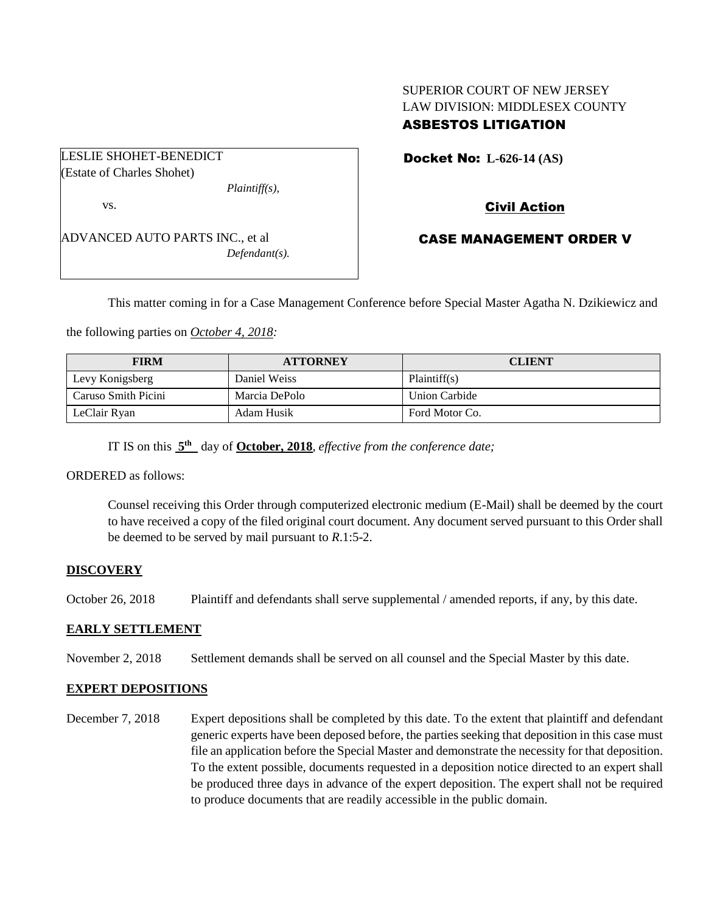## SUPERIOR COURT OF NEW JERSEY LAW DIVISION: MIDDLESEX COUNTY ASBESTOS LITIGATION

LESLIE SHOHET-BENEDICT (Estate of Charles Shohet)

*Plaintiff(s),*

vs.

ADVANCED AUTO PARTS INC., et al *Defendant(s).* Docket No: **L-626-14 (AS)** 

Civil Action

# CASE MANAGEMENT ORDER V

This matter coming in for a Case Management Conference before Special Master Agatha N. Dzikiewicz and

the following parties on *October 4, 2018:*

| <b>FIRM</b>         | <b>ATTORNEY</b> | <b>CLIENT</b>  |
|---------------------|-----------------|----------------|
| Levy Konigsberg     | Daniel Weiss    | Plaintiff(s)   |
| Caruso Smith Picini | Marcia DePolo   | Union Carbide  |
| LeClair Ryan        | Adam Husik      | Ford Motor Co. |

IT IS on this  $5<sup>th</sup>$  day of **October, 2018**, *effective from the conference date*;

ORDERED as follows:

Counsel receiving this Order through computerized electronic medium (E-Mail) shall be deemed by the court to have received a copy of the filed original court document. Any document served pursuant to this Order shall be deemed to be served by mail pursuant to *R*.1:5-2.

#### **DISCOVERY**

October 26, 2018 Plaintiff and defendants shall serve supplemental / amended reports, if any, by this date.

#### **EARLY SETTLEMENT**

November 2, 2018 Settlement demands shall be served on all counsel and the Special Master by this date.

## **EXPERT DEPOSITIONS**

December 7, 2018 Expert depositions shall be completed by this date. To the extent that plaintiff and defendant generic experts have been deposed before, the parties seeking that deposition in this case must file an application before the Special Master and demonstrate the necessity for that deposition. To the extent possible, documents requested in a deposition notice directed to an expert shall be produced three days in advance of the expert deposition. The expert shall not be required to produce documents that are readily accessible in the public domain.